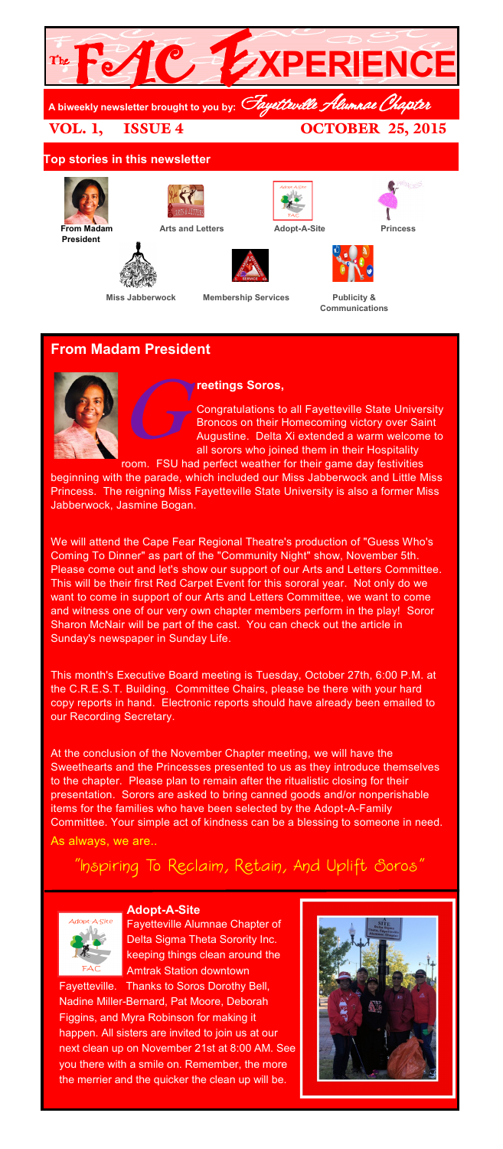

# **From Madam President**



### **reetings Soros,**

 $G$ Congratulations to all Fayetteville State University Broncos on their Homecoming victory over Saint Augustine. Delta Xi extended a warm welcome to all sorors who joined them in their Hospitality room. FSU had perfect weather for their game day festivities

beginning with the parade, which included our Miss Jabberwock and Little Miss Princess. The reigning Miss Fayetteville State University is also a former Miss Jabberwock, Jasmine Bogan.

We will attend the Cape Fear Regional Theatre's production of "Guess Who's Coming To Dinner" as part of the "Community Night" show, November 5th. Please come out and let's show our support of our Arts and Letters Committee. This will be their first Red Carpet Event for this sororal year. Not only do we want to come in support of our Arts and Letters Committee, we want to come and witness one of our very own chapter members perform in the play! Soror Sharon McNair will be part of the cast. You can check out the article in Sunday's newspaper in Sunday Life.

This month's Executive Board meeting is Tuesday, October 27th, 6:00 P.M. at the C.R.E.S.T. Building. Committee Chairs, please be there with your hard copy reports in hand. Electronic reports should have already been emailed to our Recording Secretary.

At the conclusion of the November Chapter meeting, we will have the Sweethearts and the Princesses presented to us as they introduce themselves to the chapter. Please plan to remain after the ritualistic closing for their presentation. Sorors are asked to bring canned goods and/or nonperishable items for the families who have been selected by the Adopt-A-Family Committee. Your simple act of kindness can be a blessing to someone in need.

As always, we are..

# $^{\prime}$ Inspiring To Reclaim, Retain, And Uplift Soros'

and the control of the control of



**Adopt-A-Site** Fayetteville Alumnae Chapter of Delta Sigma Theta Sorority Inc. keeping things clean around the Amtrak Station downtown

Fayetteville. Thanks to Soros Dorothy Bell, Nadine Miller-Bernard, Pat Moore, Deborah Figgins, and Myra Robinson for making it happen. All sisters are invited to join us at our next clean up on November 21st at 8:00 AM. See you there with a smile on. Remember, the more the merrier and the quicker the clean up will be.